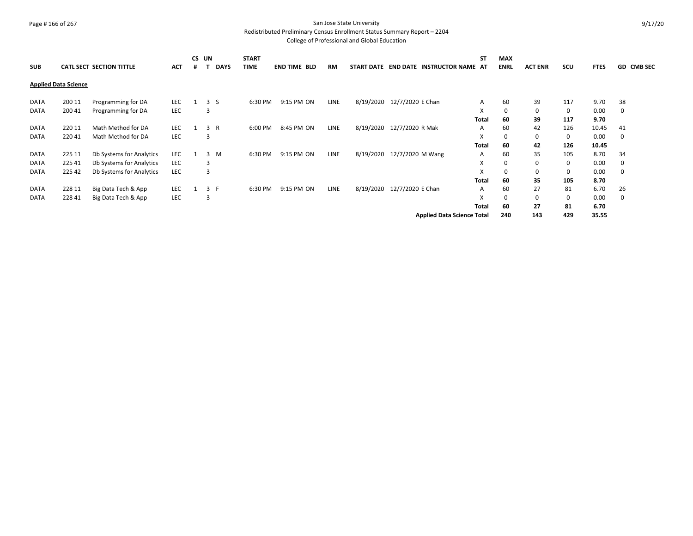# Page # 166 of 267 San Jose State University

Redistributed Preliminary Census Enrollment Status Summary Report – 2204

| <b>SUB</b>  |                             | <b>CATL SECT SECTION TITTLE</b> | <b>ACT</b> | CS UN | <b>DAYS</b>    | <b>START</b><br><b>TIME</b> | <b>END TIME BLD</b> | <b>RM</b>   |                            |                            | START DATE END DATE INSTRUCTOR NAME AT | <b>ST</b> | <b>MAX</b><br><b>ENRL</b> | <b>ACT ENR</b> | SCU | <b>FTES</b> | GD CMB SEC |
|-------------|-----------------------------|---------------------------------|------------|-------|----------------|-----------------------------|---------------------|-------------|----------------------------|----------------------------|----------------------------------------|-----------|---------------------------|----------------|-----|-------------|------------|
|             | <b>Applied Data Science</b> |                                 |            |       |                |                             |                     |             |                            |                            |                                        |           |                           |                |     |             |            |
| DATA        | 200 11                      | Programming for DA              | LEC        |       | 3 <sub>5</sub> | 6:30 PM                     | 9:15 PM ON          | <b>LINE</b> |                            | 8/19/2020 12/7/2020 E Chan |                                        | A         | 60                        | 39             | 117 | 9.70        | 38         |
| <b>DATA</b> | 200 41                      | Programming for DA              | <b>LEC</b> | 3     |                |                             |                     |             |                            |                            |                                        | X         | 0                         | 0              | 0   | 0.00        | 0          |
|             |                             |                                 |            |       |                |                             |                     |             |                            |                            |                                        | Total     | 60                        | 39             | 117 | 9.70        |            |
| <b>DATA</b> | 220 11                      | Math Method for DA              | <b>LEC</b> |       | 3 R            | 6:00 PM                     | 8:45 PM ON          | <b>LINE</b> |                            | 8/19/2020 12/7/2020 R Mak  |                                        | A         | 60                        | 42             | 126 | 10.45       | 41         |
| <b>DATA</b> | 22041                       | Math Method for DA              | LEC        | 3     |                |                             |                     |             |                            |                            |                                        | X         | 0                         | 0              | 0   | 0.00        | 0          |
|             |                             |                                 |            |       |                |                             |                     |             |                            |                            |                                        | Total     | 60                        | 42             | 126 | 10.45       |            |
| DATA        | 225 11                      | Db Systems for Analytics        | LEC        |       | 3 M            | 6:30 PM                     | 9:15 PM ON          | <b>LINE</b> | 8/19/2020 12/7/2020 M Wang |                            |                                        | A         | 60                        | 35             | 105 | 8.70        | 34         |
| DATA        | 225 41                      | Db Systems for Analytics        | LEC        | 3     |                |                             |                     |             |                            |                            |                                        | X         | 0                         | 0              | 0   | 0.00        | 0          |
| <b>DATA</b> | 225 42                      | Db Systems for Analytics        | <b>LEC</b> | 3     |                |                             |                     |             |                            |                            |                                        | X         | 0                         | 0              | 0   | 0.00        | 0          |
|             |                             |                                 |            |       |                |                             |                     |             |                            |                            |                                        | Total     | 60                        | 35             | 105 | 8.70        |            |
| DATA        | 228 11                      | Big Data Tech & App             | <b>LEC</b> |       | 3 F            | 6:30 PM                     | 9:15 PM ON          | <b>LINE</b> | 8/19/2020 12/7/2020 E Chan |                            |                                        | A         | 60                        | 27             | 81  | 6.70        | 26         |
| <b>DATA</b> | 228 41                      | Big Data Tech & App             | <b>LEC</b> | 3     |                |                             |                     |             |                            |                            |                                        | X         | 0                         | 0              | 0   | 0.00        | 0          |
|             |                             |                                 |            |       |                |                             |                     |             |                            |                            |                                        | Total     | 60                        | 27             | 81  | 6.70        |            |
|             |                             |                                 |            |       |                |                             |                     |             |                            |                            | <b>Applied Data Science Total</b>      |           | 240                       | 143            | 429 | 35.55       |            |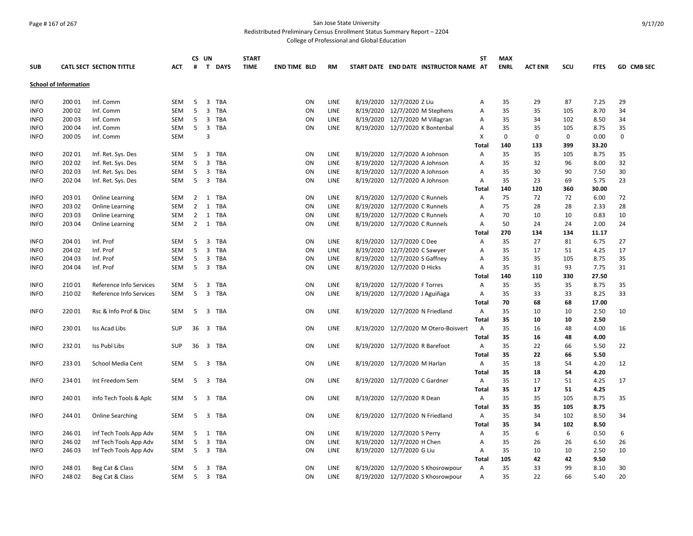# Page # 167 of 267 San Jose State University

Redistributed Preliminary Census Enrollment Status Summary Report – 2204

|                              |        |                                 |            |                | CS UN                   |                   | <b>START</b> |                     |           |  |                                 |                                        | <b>ST</b>    | <b>MAX</b>  |                |          |               |             |
|------------------------------|--------|---------------------------------|------------|----------------|-------------------------|-------------------|--------------|---------------------|-----------|--|---------------------------------|----------------------------------------|--------------|-------------|----------------|----------|---------------|-------------|
| <b>SUB</b>                   |        | <b>CATL SECT SECTION TITTLE</b> | <b>ACT</b> | #              |                         | T DAYS            | <b>TIME</b>  | <b>END TIME BLD</b> | <b>RM</b> |  |                                 | START DATE END DATE INSTRUCTOR NAME AT |              | <b>ENRL</b> | <b>ACT ENR</b> | scu      | <b>FTES</b>   | GD CMB SEC  |
| <b>School of Information</b> |        |                                 |            |                |                         |                   |              |                     |           |  |                                 |                                        |              |             |                |          |               |             |
| <b>INFO</b>                  | 200 01 | Inf. Comm                       | <b>SEM</b> | 5              | $\overline{3}$          | <b>TBA</b>        |              | ON                  | LINE      |  | 8/19/2020 12/7/2020 Z Liu       |                                        | А            | 35          | 29             | 87       | 7.25          | 29          |
| <b>INFO</b>                  | 200 02 | Inf. Comm                       | SEM        | 5              | $\overline{3}$          | <b>TBA</b>        |              | ON                  | LINE      |  | 8/19/2020 12/7/2020 M Stephens  |                                        | Α            | 35          | 35             | 105      | 8.70          | 34          |
| <b>INFO</b>                  | 200 03 | Inf. Comm                       | SEM        | 5              | $\overline{\mathbf{3}}$ | TBA               |              | ON                  | LINE      |  | 8/19/2020 12/7/2020 M Villagran |                                        | А            | 35          | 34             | 102      | 8.50          | 34          |
| <b>INFO</b>                  | 200 04 | Inf. Comm                       | SEM        | 5              | $\overline{3}$          | <b>TBA</b>        |              | ON                  | LINE      |  | 8/19/2020 12/7/2020 K Bontenbal |                                        | Α            | 35          | 35             | 105      | 8.75          | 35          |
| <b>INFO</b>                  | 200 05 | Inf. Comm                       | <b>SEM</b> |                | $\overline{3}$          |                   |              |                     |           |  |                                 |                                        | X            | 0           | 0              | 0        | 0.00          | $\mathbf 0$ |
|                              |        |                                 |            |                |                         |                   |              |                     |           |  |                                 |                                        | <b>Total</b> | 140         | 133            | 399      | 33.20         |             |
| <b>INFO</b>                  | 202 01 | Inf. Ret. Sys. Des              | <b>SEM</b> | -5             | $\overline{\mathbf{3}}$ | TBA               |              | ON                  | LINE      |  | 8/19/2020 12/7/2020 A Johnson   |                                        | A            | 35          | 35             | 105      | 8.75          | 35          |
| <b>INFO</b>                  | 202 02 | Inf. Ret. Sys. Des              | SEM        | 5              | $\overline{3}$          | <b>TBA</b>        |              | ON                  | LINE      |  | 8/19/2020 12/7/2020 A Johnson   |                                        | Α            | 35          | 32             | 96       | 8.00          | 32          |
| <b>INFO</b>                  | 202 03 | Inf. Ret. Sys. Des              | SEM        | 5              | 3                       | <b>TBA</b>        |              | ON                  | LINE      |  | 8/19/2020 12/7/2020 A Johnson   |                                        | А            | 35          | 30             | 90       | 7.50          | 30          |
| <b>INFO</b>                  | 202 04 | Inf. Ret. Sys. Des              | SEM        | 5              | $\overline{\mathbf{3}}$ | <b>TBA</b>        |              | ΟN                  | LINE      |  | 8/19/2020 12/7/2020 A Johnson   |                                        | Α            | 35          | 23             | 69       | 5.75          | 23          |
|                              |        |                                 |            |                |                         |                   |              |                     |           |  |                                 |                                        | Total        | 140         | 120            | 360      | 30.00         |             |
| <b>INFO</b>                  | 203 01 | Online Learning                 | <b>SEM</b> | $\overline{2}$ |                         | 1 TBA             |              | ON                  | LINE      |  | 8/19/2020 12/7/2020 C Runnels   |                                        | Α            | 75          | 72             | 72       | 6.00          | 72          |
| <b>INFO</b>                  | 203 02 | <b>Online Learning</b>          | <b>SEM</b> | 2              | 1                       | <b>TBA</b>        |              | ON                  | LINE      |  | 8/19/2020 12/7/2020 C Runnels   |                                        | A            | 75          | 28             | 28       | 2.33          | 28          |
| <b>INFO</b>                  | 203 03 | Online Learning                 | SEM        | $\overline{2}$ | 1                       | TBA               |              | ON                  | LINE      |  | 8/19/2020 12/7/2020 C Runnels   |                                        | А            | 70          | 10             | 10       | 0.83          | 10          |
| <b>INFO</b>                  | 203 04 | Online Learning                 | SEM        | $\overline{2}$ | 1                       | TBA               |              | ON                  | LINE      |  | 8/19/2020 12/7/2020 C Runnels   |                                        | А            | 50          | 24             | 24       | 2.00          | 24          |
|                              |        |                                 |            |                |                         |                   |              |                     |           |  |                                 |                                        | Total        | 270         | 134            | 134      | 11.17         |             |
| <b>INFO</b>                  | 204 01 | Inf. Prof                       | <b>SEM</b> | 5              | $\overline{3}$          | <b>TBA</b>        |              | ON                  | LINE      |  | 8/19/2020 12/7/2020 C Dee       |                                        | A            | 35          | 27             | 81       | 6.75          | 27          |
| <b>INFO</b>                  | 204 02 | Inf. Prof                       | <b>SEM</b> | 5              | $\overline{3}$          | <b>TBA</b>        |              | ON                  | LINE      |  | 8/19/2020 12/7/2020 C Sawyer    |                                        | A            | 35          | 17             | 51       | 4.25          | 17          |
| <b>INFO</b>                  | 204 03 | Inf. Prof                       | <b>SEM</b> | 5              | 3                       | <b>TBA</b>        |              | ON                  | LINE      |  | 8/19/2020 12/7/2020 S Gaffney   |                                        | A            | 35          | 35             | 105      | 8.75          | 35          |
|                              |        |                                 |            | 5              |                         | 3 TBA             |              | ON                  | LINE      |  | 8/19/2020 12/7/2020 D Hicks     |                                        |              | 35          | 31             | 93       | 7.75          | 31          |
| <b>INFO</b>                  | 204 04 | Inf. Prof                       | SEM        |                |                         |                   |              |                     |           |  |                                 |                                        | Α            |             |                |          |               |             |
|                              | 210 01 |                                 |            |                |                         |                   |              |                     |           |  |                                 |                                        | Total        | 140         | 110            | 330      | 27.50         |             |
| <b>INFO</b>                  |        | Reference Info Services         | SEM        | 5<br>5         | $\overline{3}$          | TBA<br><b>TBA</b> |              | ON                  | LINE      |  | 8/19/2020 12/7/2020 F Torres    |                                        | Α            | 35          | 35             | 35       | 8.75          | 35<br>33    |
| <b>INFO</b>                  | 210 02 | Reference Info Services         | <b>SEM</b> |                | 3                       |                   |              | ON                  | LINE      |  | 8/19/2020 12/7/2020 J Aguiñaga  |                                        | Α            | 35<br>70    | 33<br>68       | 33<br>68 | 8.25<br>17.00 |             |
|                              |        |                                 |            |                |                         |                   |              |                     |           |  |                                 |                                        | Total        |             |                |          |               |             |
| <b>INFO</b>                  | 22001  | Rsc & Info Prof & Disc          | SEM        | 5              | $\overline{3}$          | TBA               |              | ON                  | LINE      |  | 8/19/2020 12/7/2020 N Friedland |                                        | Α            | 35          | 10             | 10       | 2.50          | 10          |
|                              |        |                                 |            |                |                         |                   |              |                     |           |  |                                 |                                        | Total        | 35          | 10             | 10       | 2.50          |             |
| <b>INFO</b>                  | 23001  | Iss Acad Libs                   | <b>SUP</b> | 36             | 3                       | TBA               |              | ΟN                  | LINE      |  |                                 | 8/19/2020 12/7/2020 M Otero-Boisvert   | Α            | 35          | 16             | 48       | 4.00          | 16          |
|                              |        |                                 |            |                |                         |                   |              |                     |           |  |                                 |                                        | <b>Total</b> | 35          | 16             | 48       | 4.00          |             |
| <b>INFO</b>                  | 23201  | Iss Publ Libs                   | <b>SUP</b> | 36             |                         | 3 TBA             |              | ON                  | LINE      |  | 8/19/2020 12/7/2020 R Barefoot  |                                        | Α            | 35          | 22             | 66       | 5.50          | 22          |
|                              |        |                                 |            |                |                         |                   |              |                     |           |  |                                 |                                        | <b>Total</b> | 35          | 22             | 66       | 5.50          |             |
| <b>INFO</b>                  | 233 01 | School Media Cent               | SEM        | 5              | $\overline{3}$          | <b>TBA</b>        |              | ON                  | LINE      |  | 8/19/2020 12/7/2020 M Harlan    |                                        | Α            | 35          | 18             | 54       | 4.20          | 12          |
|                              |        |                                 |            |                |                         |                   |              |                     |           |  |                                 |                                        | Total        | 35          | 18             | 54       | 4.20          |             |
| <b>INFO</b>                  | 234 01 | Int Freedom Sem                 | SEM        | 5              |                         | 3 TBA             |              | ON                  | LINE      |  | 8/19/2020 12/7/2020 C Gardner   |                                        | Α            | 35          | 17             | 51       | 4.25          | 17          |
|                              |        |                                 |            |                |                         |                   |              |                     |           |  |                                 |                                        | Total        | 35          | 17             | 51       | 4.25          |             |
| <b>INFO</b>                  | 240 01 | Info Tech Tools & Aplc          | <b>SEM</b> | 5              |                         | 3 TBA             |              | ON                  | LINE      |  | 8/19/2020 12/7/2020 R Dean      |                                        | Α            | 35          | 35             | 105      | 8.75          | 35          |
|                              |        |                                 |            |                |                         |                   |              |                     |           |  |                                 |                                        | <b>Total</b> | 35          | 35             | 105      | 8.75          |             |
| <b>INFO</b>                  | 244 01 | <b>Online Searching</b>         | SEM        | -5             |                         | 3 TBA             |              | ON                  | LINE      |  | 8/19/2020 12/7/2020 N Friedland |                                        | Α            | 35          | 34             | 102      | 8.50          | 34          |
|                              |        |                                 |            |                |                         |                   |              |                     |           |  |                                 |                                        | Total        | 35          | 34             | 102      | 8.50          |             |
| <b>INFO</b>                  | 246 01 | Inf Tech Tools App Adv          | <b>SEM</b> | 5              | 1                       | TBA               |              | ON                  | LINE      |  | 8/19/2020 12/7/2020 S Perry     |                                        | Α            | 35          | 6              | 6        | 0.50          | 6           |
| <b>INFO</b>                  | 246 02 | Inf Tech Tools App Adv          | <b>SEM</b> | 5              | 3                       | <b>TBA</b>        |              | ON                  | LINE      |  | 8/19/2020 12/7/2020 H Chen      |                                        | A            | 35          | 26             | 26       | 6.50          | 26          |
| <b>INFO</b>                  | 246 03 | Inf Tech Tools App Adv          | <b>SEM</b> | 5 <sup>5</sup> |                         | 3 TBA             |              | ON                  | LINE      |  | 8/19/2020 12/7/2020 G Liu       |                                        | Α            | 35          | 10             | 10       | 2.50          | 10          |
|                              |        |                                 |            |                |                         |                   |              |                     |           |  |                                 |                                        | <b>Total</b> | 105         | 42             | 42       | 9.50          |             |
| <b>INFO</b>                  | 248 01 | Beg Cat & Class                 | SEM        | 5              | 3                       | TBA               |              | ON                  | LINE      |  |                                 | 8/19/2020 12/7/2020 S Khosrowpour      | Α            | 35          | 33             | 99       | 8.10          | 30          |
| <b>INFO</b>                  | 24802  | Beg Cat & Class                 | SEM        | 5              |                         | 3 TBA             |              | ON                  | LINE      |  |                                 | 8/19/2020 12/7/2020 S Khosrowpour      | A            | 35          | 22             | 66       | 5.40          | 20          |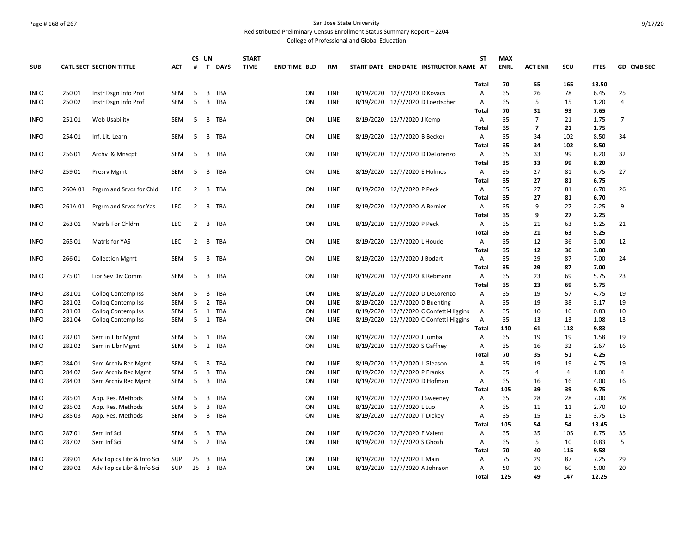# Page # 168 of 267 San Jose State University

Redistributed Preliminary Census Enrollment Status Summary Report – 2204

|             |        |                                 |            |                | CS UN                   |            | <b>START</b> |                     |    |             |                                        | <b>ST</b>         | <b>MAX</b>  |                |          |              |                |
|-------------|--------|---------------------------------|------------|----------------|-------------------------|------------|--------------|---------------------|----|-------------|----------------------------------------|-------------------|-------------|----------------|----------|--------------|----------------|
| <b>SUB</b>  |        | <b>CATL SECT SECTION TITTLE</b> | <b>ACT</b> | #              |                         | T DAYS     | <b>TIME</b>  | <b>END TIME BLD</b> |    | <b>RM</b>   | START DATE END DATE INSTRUCTOR NAME AT |                   | <b>ENRL</b> | <b>ACT ENR</b> | SCU      | <b>FTES</b>  | GD CMB SEC     |
|             |        |                                 |            |                |                         |            |              |                     |    |             |                                        | Total             | 70          | 55             | 165      | 13.50        |                |
| <b>INFO</b> | 250 01 | Instr Dsgn Info Prof            | <b>SEM</b> | -5             | $\overline{\mathbf{3}}$ | TBA        |              |                     | ON | <b>LINE</b> | 8/19/2020 12/7/2020 D Kovacs           | Α                 | 35          | 26             | 78       | 6.45         | 25             |
| <b>INFO</b> | 25002  | Instr Dsgn Info Prof            | <b>SEM</b> | 5              | $\overline{3}$          | <b>TBA</b> |              |                     | ON | <b>LINE</b> | 8/19/2020 12/7/2020 D Loertscher       | A                 | 35          | 5              | 15       | 1.20         | $\overline{4}$ |
|             |        |                                 |            |                |                         |            |              |                     |    |             |                                        | Total             | 70          | 31             | 93       | 7.65         |                |
| <b>INFO</b> | 25101  | Web Usability                   | SEM        | 5              |                         | 3 TBA      |              |                     | ON | <b>LINE</b> | 8/19/2020 12/7/2020 J Kemp             | A                 | 35          | 7              | 21       | 1.75         | 7              |
|             |        |                                 |            |                |                         |            |              |                     |    |             |                                        | Total             | 35          | $\overline{7}$ | 21       | 1.75         |                |
| <b>INFO</b> | 254 01 | Inf. Lit. Learn                 | SEM        | -5             | $\overline{3}$          | TBA        |              |                     | ON | LINE        | 8/19/2020 12/7/2020 B Becker           | Α                 | 35          | 34             | 102      | 8.50         | 34             |
|             |        |                                 |            |                |                         |            |              |                     |    |             |                                        | Total             | 35          | 34             | 102      | 8.50         |                |
| <b>INFO</b> | 25601  | Archy & Mnscpt                  | <b>SEM</b> | -5             | $\overline{3}$          | TBA        |              |                     | ON | <b>LINE</b> | 8/19/2020 12/7/2020 D DeLorenzo        | $\overline{A}$    | 35          | 33             | 99       | 8.20         | 32             |
|             |        |                                 |            |                |                         |            |              |                     |    |             |                                        | Total             | 35          | 33             | 99       | 8.20         |                |
| <b>INFO</b> | 259 01 | <b>Presrv Mgmt</b>              | SEM        | -5             | 3                       | TBA        |              |                     | ON | LINE        | 8/19/2020 12/7/2020 E Holmes           | Α                 | 35          | 27             | 81       | 6.75         | 27             |
|             |        |                                 |            |                |                         |            |              |                     |    |             |                                        | Total             | 35          | 27             | 81       | 6.75         |                |
| <b>INFO</b> | 260A01 | Prgrm and Srvcs for Chld        | <b>LEC</b> | 2              | $\overline{3}$          | TBA        |              |                     | ON | LINE        | 8/19/2020 12/7/2020 P Peck             | A                 | 35          | 27             | 81       | 6.70         | 26             |
|             |        |                                 |            |                |                         |            |              |                     |    |             |                                        | Total             | 35          | 27             | 81       | 6.70         |                |
| <b>INFO</b> | 261A01 | Prgrm and Srvcs for Yas         | <b>LEC</b> | 2              |                         | 3 TBA      |              |                     | ON | LINE        | 8/19/2020 12/7/2020 A Bernier          | $\overline{A}$    | 35          | 9              | 27       | 2.25         | 9              |
|             |        |                                 |            |                |                         |            |              |                     |    |             |                                        | <b>Total</b>      | 35          | 9              | 27       | 2.25         |                |
| <b>INFO</b> | 263 01 | Matrls For Chldrn               | LEC        | $\overline{2}$ | 3                       | TBA        |              |                     | ON | LINE        | 8/19/2020 12/7/2020 P Peck             | A                 | 35          | 21             | 63       | 5.25         | 21             |
|             |        |                                 |            |                |                         |            |              |                     |    |             |                                        | Total             | 35          | 21             | 63       | 5.25         |                |
| <b>INFO</b> | 265 01 | Matrls for YAS                  | LEC        | 2              | 3                       | TBA        |              |                     | ON | LINE        | 8/19/2020 12/7/2020 L Houde            | Α                 | 35          | 12             | 36       | 3.00         | 12             |
|             | 26601  |                                 | <b>SEM</b> | 5              |                         |            |              |                     | ON |             |                                        | Total             | 35<br>35    | 12<br>29       | 36<br>87 | 3.00         | 24             |
| <b>INFO</b> |        | <b>Collection Mgmt</b>          |            |                | 3                       | TBA        |              |                     |    | LINE        | 8/19/2020 12/7/2020 J Bodart           | Α<br><b>Total</b> | 35          | 29             | 87       | 7.00<br>7.00 |                |
| <b>INFO</b> | 275 01 | Libr Sev Div Comm               | <b>SEM</b> | -5             |                         | 3 TBA      |              |                     | ON | LINE        | 8/19/2020 12/7/2020 K Rebmann          | A                 | 35          | 23             |          | 5.75         | 23             |
|             |        |                                 |            |                |                         |            |              |                     |    |             |                                        | Total             | 35          | 23             | 69<br>69 | 5.75         |                |
| <b>INFO</b> | 28101  | <b>Collog Contemp Iss</b>       | SEM        | 5              | $\overline{\mathbf{3}}$ | <b>TBA</b> |              |                     | ON | LINE        | 8/19/2020 12/7/2020 D DeLorenzo        | Α                 | 35          | 19             | 57       | 4.75         | 19             |
| <b>INFO</b> | 28102  | <b>Collog Contemp Iss</b>       | SEM        | 5              | $\overline{2}$          | TBA        |              |                     | ON | <b>LINE</b> | 8/19/2020 12/7/2020 D Buenting         | Α                 | 35          | 19             | 38       | 3.17         | 19             |
| <b>INFO</b> | 28103  | <b>Collog Contemp Iss</b>       | SEM        | 5              |                         | 1 TBA      |              |                     | ON | LINE        | 8/19/2020 12/7/2020 C Confetti-Higgins | Α                 | 35          | 10             | 10       | 0.83         | 10             |
| <b>INFO</b> | 281 04 | Colloq Contemp Iss              | <b>SEM</b> | 5              |                         | 1 TBA      |              |                     | ON | <b>LINE</b> | 8/19/2020 12/7/2020 C Confetti-Higgins | A                 | 35          | 13             | 13       | 1.08         | 13             |
|             |        |                                 |            |                |                         |            |              |                     |    |             |                                        | Total             | 140         | 61             | 118      | 9.83         |                |
| <b>INFO</b> | 28201  | Sem in Libr Mgmt                | SEM        | 5              | 1                       | TBA        |              |                     | ON | LINE        | 8/19/2020 12/7/2020 J Jumba            | A                 | 35          | 19             | 19       | 1.58         | 19             |
| <b>INFO</b> | 28202  | Sem in Libr Mgmt                | SEM        | 5              |                         | 2 TBA      |              |                     | ON | <b>LINE</b> | 8/19/2020 12/7/2020 S Gaffney          | Α                 | 35          | 16             | 32       | 2.67         | 16             |
|             |        |                                 |            |                |                         |            |              |                     |    |             |                                        | Total             | 70          | 35             | 51       | 4.25         |                |
| <b>INFO</b> | 284 01 | Sem Archiv Rec Mgmt             | <b>SEM</b> | -5             | $\overline{\mathbf{3}}$ | <b>TBA</b> |              |                     | ON | LINE        | 8/19/2020 12/7/2020 L Gleason          | Α                 | 35          | 19             | 19       | 4.75         | 19             |
| <b>INFO</b> | 284 02 | Sem Archiv Rec Mgmt             | SEM        | 5              | $\overline{3}$          | <b>TBA</b> |              |                     | ON | LINE        | 8/19/2020 12/7/2020 P Franks           | Α                 | 35          | 4              | 4        | 1.00         | $\overline{4}$ |
| <b>INFO</b> | 284 03 | Sem Archiv Rec Mgmt             | <b>SEM</b> | 5              |                         | 3 TBA      |              |                     | ON | <b>LINE</b> | 8/19/2020 12/7/2020 D Hofman           | Α                 | 35          | 16             | 16       | 4.00         | 16             |
|             |        |                                 |            |                |                         |            |              |                     |    |             |                                        | Total             | 105         | 39             | 39       | 9.75         |                |
| <b>INFO</b> | 285 01 | App. Res. Methods               | SEM        | 5              |                         | 3 TBA      |              |                     | ON | LINE        | 8/19/2020 12/7/2020 J Sweeney          | Α                 | 35          | 28             | 28       | 7.00         | 28             |
| <b>INFO</b> | 285 02 | App. Res. Methods               | SEM        | 5              | $\overline{\mathbf{3}}$ | <b>TBA</b> |              |                     | ON | LINE        | 8/19/2020 12/7/2020 L Luo              | A                 | 35          | 11             | 11       | 2.70         | 10             |
| <b>INFO</b> | 285 03 | App. Res. Methods               | SEM        | 5              |                         | 3 TBA      |              |                     | ON | LINE        | 8/19/2020 12/7/2020 T Dickey           | Α                 | 35          | 15             | 15       | 3.75         | 15             |
|             |        |                                 |            |                |                         |            |              |                     |    |             |                                        | Total             | 105         | 54             | 54       | 13.45        |                |
| <b>INFO</b> | 28701  | Sem Inf Sci                     | <b>SEM</b> | 5              | $\overline{\mathbf{3}}$ | <b>TBA</b> |              |                     | ON | <b>LINE</b> | 8/19/2020 12/7/2020 E Valenti          | Α                 | 35          | 35             | 105      | 8.75         | 35             |
| <b>INFO</b> | 28702  | Sem Inf Sci                     | <b>SEM</b> | 5              | $\overline{2}$          | <b>TBA</b> |              |                     | ON | LINE        | 8/19/2020 12/7/2020 S Ghosh            | Α                 | 35          | 5              | 10       | 0.83         | 5              |
|             |        |                                 |            |                |                         |            |              |                     |    |             |                                        | Total             | 70          | 40             | 115      | 9.58         |                |
| <b>INFO</b> | 28901  | Adv Topics Libr & Info Sci      | <b>SUP</b> | 25             | 3                       | TBA        |              |                     | ON | LINE        | 8/19/2020 12/7/2020 L Main             | A                 | 75          | 29             | 87       | 7.25         | 29             |
| <b>INFO</b> | 28902  | Adv Topics Libr & Info Sci      | <b>SUP</b> | 25             |                         | 3 TBA      |              |                     | ON | <b>LINE</b> | 8/19/2020 12/7/2020 A Johnson          | Α                 | 50          | 20             | 60       | 5.00         | 20             |
|             |        |                                 |            |                |                         |            |              |                     |    |             |                                        | <b>Total</b>      | 125         | 49             | 147      | 12.25        |                |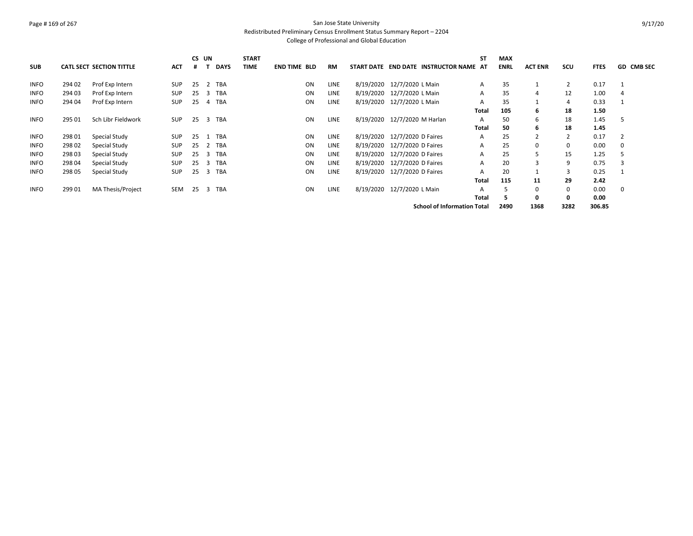# Page # 169 of 267 San Jose State University

Redistributed Preliminary Census Enrollment Status Summary Report – 2204

| <b>SUB</b>  |        | <b>CATL SECT SECTION TITTLE</b> | <b>ACT</b> |     | CS UN | <b>DAYS</b> | <b>START</b><br><b>TIME</b> | <b>END TIME BLD</b> | <b>RM</b>   |                              | START DATE END DATE INSTRUCTOR NAME AT | <b>ST</b>    | <b>MAX</b><br><b>ENRL</b> | <b>ACT ENR</b> | <b>SCU</b>     | <b>FTES</b> | <b>GD CMB SEC</b> |
|-------------|--------|---------------------------------|------------|-----|-------|-------------|-----------------------------|---------------------|-------------|------------------------------|----------------------------------------|--------------|---------------------------|----------------|----------------|-------------|-------------------|
| <b>INFO</b> | 294 02 | Prof Exp Intern                 | <b>SUP</b> | 25  |       | 2 TBA       |                             | ON                  | LINE        | 8/19/2020 12/7/2020 L Main   |                                        | A            | 35                        |                | $\overline{2}$ | 0.17        |                   |
| <b>INFO</b> | 294 03 | Prof Exp Intern                 | <b>SUP</b> | 25  |       | 3 TBA       |                             | ON                  | LINE        | 8/19/2020 12/7/2020 L Main   |                                        | A            | 35                        | 4              | 12             | 1.00        | 4                 |
| <b>INFO</b> | 294 04 | Prof Exp Intern                 | <b>SUP</b> | 25  |       | 4 TBA       |                             | ON                  | LINE        | 8/19/2020 12/7/2020 L Main   |                                        | A            | 35                        |                | 4              | 0.33        |                   |
|             |        |                                 |            |     |       |             |                             |                     |             |                              |                                        | Total        | 105                       | 6              | 18             | 1.50        |                   |
| <b>INFO</b> | 295 01 | Sch Libr Fieldwork              | <b>SUP</b> | 25  |       | 3 TBA       |                             | ON                  | LINE        | 8/19/2020 12/7/2020 M Harlan |                                        | A            | 50                        | 6              | 18             | 1.45        | -5                |
|             |        |                                 |            |     |       |             |                             |                     |             |                              |                                        | <b>Total</b> | 50                        | 6              | 18             | 1.45        |                   |
| <b>INFO</b> | 298 01 | Special Study                   | <b>SUP</b> | 25  |       | <b>TBA</b>  |                             | ON                  | LINE        | 8/19/2020 12/7/2020 D Faires |                                        | A            | 25                        | $\overline{2}$ | 2              | 0.17        |                   |
| <b>INFO</b> | 298 02 | Special Study                   | SUP        | 25  | 2     | TBA         |                             | ON                  | <b>LINE</b> | 8/19/2020 12/7/2020 D Faires |                                        | A            | 25                        | 0              | 0              | 0.00        |                   |
| <b>INFO</b> | 29803  | Special Study                   | <b>SUP</b> | 25  | 3     | TBA         |                             | ON                  | <b>LINE</b> | 8/19/2020 12/7/2020 D Faires |                                        | A            | 25                        | 5              | 15             | 1.25        |                   |
| <b>INFO</b> | 298 04 | Special Study                   | SUP        | 25  |       | 3 TBA       |                             | ON                  | LINE        | 8/19/2020 12/7/2020 D Faires |                                        | A            | 20                        | 3              | 9              | 0.75        |                   |
| <b>INFO</b> | 298 05 | Special Study                   | <b>SUP</b> | -25 |       | 3 TBA       |                             | ON                  | LINE        | 8/19/2020 12/7/2020 D Faires |                                        | A            | 20                        |                | 3              | 0.25        |                   |
|             |        |                                 |            |     |       |             |                             |                     |             |                              |                                        | <b>Total</b> | 115                       | 11             | 29             | 2.42        |                   |
| <b>INFO</b> | 299 01 | MA Thesis/Project               | SEM        | 25  | 3     | <b>TBA</b>  |                             | ON                  | LINE        | 8/19/2020 12/7/2020 L Main   |                                        |              |                           | $\Omega$       | 0              | 0.00        | 0                 |
|             |        |                                 |            |     |       |             |                             |                     |             |                              |                                        | Total        | 5                         | 0              | 0              | 0.00        |                   |
|             |        |                                 |            |     |       |             |                             |                     |             |                              | <b>School of Information Total</b>     |              | 2490                      | 1368           | 3282           | 306.85      |                   |